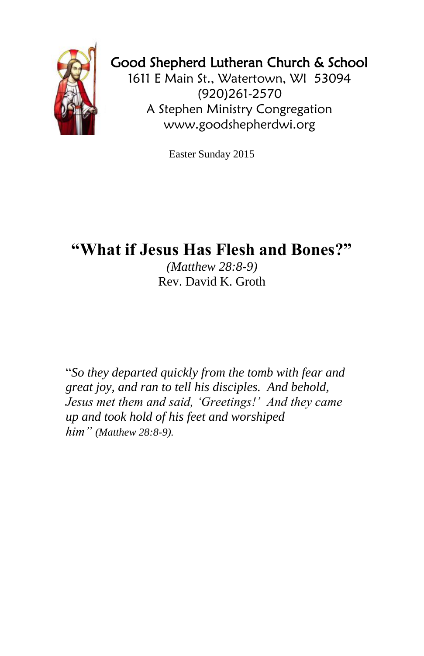

## Good Shepherd Lutheran Church & School

1611 E Main St., Watertown, WI 53094 (920)261-2570 A Stephen Ministry Congregation [www.goodshepherdwi.org](http://www.goodshepherdwi.org/)

Easter Sunday 2015

## **"What if Jesus Has Flesh and Bones?"**

*(Matthew 28:8-9)* Rev. David K. Groth

"*So they departed quickly from the tomb with fear and great joy, and ran to tell his disciples. And behold, Jesus met them and said, 'Greetings!' And they came up and took hold of his feet and worshiped him" (Matthew 28:8-9).*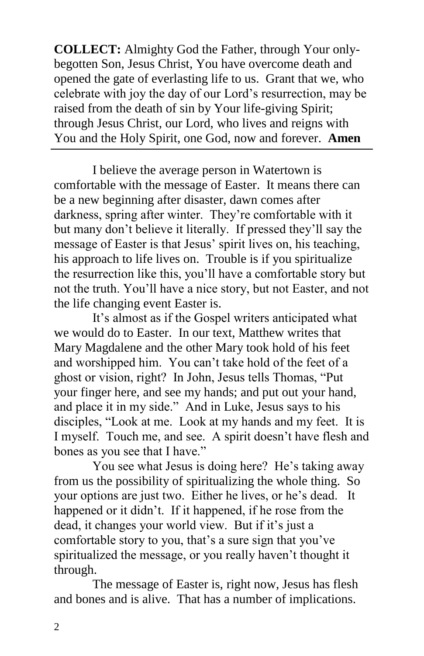**COLLECT:** Almighty God the Father, through Your onlybegotten Son, Jesus Christ, You have overcome death and opened the gate of everlasting life to us. Grant that we, who celebrate with joy the day of our Lord's resurrection, may be raised from the death of sin by Your life-giving Spirit; through Jesus Christ, our Lord, who lives and reigns with You and the Holy Spirit, one God, now and forever. **Amen**

I believe the average person in Watertown is comfortable with the message of Easter. It means there can be a new beginning after disaster, dawn comes after darkness, spring after winter. They're comfortable with it but many don't believe it literally. If pressed they'll say the message of Easter is that Jesus' spirit lives on, his teaching, his approach to life lives on. Trouble is if you spiritualize the resurrection like this, you'll have a comfortable story but not the truth. You'll have a nice story, but not Easter, and not the life changing event Easter is.

It's almost as if the Gospel writers anticipated what we would do to Easter. In our text, Matthew writes that Mary Magdalene and the other Mary took hold of his feet and worshipped him. You can't take hold of the feet of a ghost or vision, right? In John, Jesus tells Thomas, "Put your finger here, and see my hands; and put out your hand, and place it in my side." And in Luke, Jesus says to his disciples, "Look at me. Look at my hands and my feet. It is I myself. Touch me, and see. A spirit doesn't have flesh and bones as you see that I have."

You see what Jesus is doing here? He's taking away from us the possibility of spiritualizing the whole thing. So your options are just two. Either he lives, or he's dead. It happened or it didn't. If it happened, if he rose from the dead, it changes your world view. But if it's just a comfortable story to you, that's a sure sign that you've spiritualized the message, or you really haven't thought it through.

The message of Easter is, right now, Jesus has flesh and bones and is alive. That has a number of implications.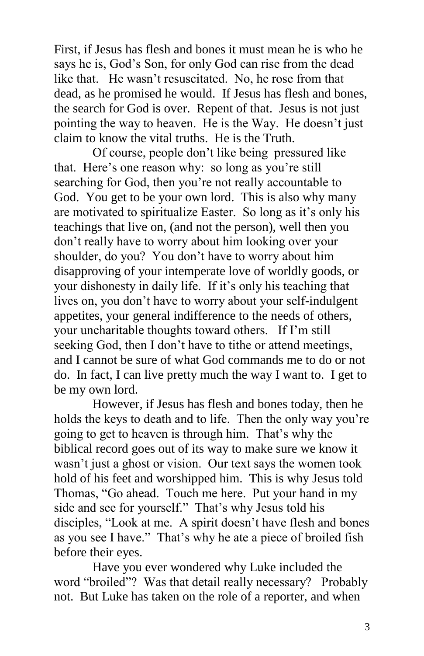First, if Jesus has flesh and bones it must mean he is who he says he is, God's Son, for only God can rise from the dead like that. He wasn't resuscitated. No, he rose from that dead, as he promised he would. If Jesus has flesh and bones, the search for God is over. Repent of that. Jesus is not just pointing the way to heaven. He is the Way. He doesn't just claim to know the vital truths. He is the Truth.

Of course, people don't like being pressured like that. Here's one reason why: so long as you're still searching for God, then you're not really accountable to God. You get to be your own lord. This is also why many are motivated to spiritualize Easter. So long as it's only his teachings that live on, (and not the person), well then you don't really have to worry about him looking over your shoulder, do you? You don't have to worry about him disapproving of your intemperate love of worldly goods, or your dishonesty in daily life. If it's only his teaching that lives on, you don't have to worry about your self-indulgent appetites, your general indifference to the needs of others, your uncharitable thoughts toward others. If I'm still seeking God, then I don't have to tithe or attend meetings, and I cannot be sure of what God commands me to do or not do. In fact, I can live pretty much the way I want to. I get to be my own lord.

However, if Jesus has flesh and bones today, then he holds the keys to death and to life. Then the only way you're going to get to heaven is through him. That's why the biblical record goes out of its way to make sure we know it wasn't just a ghost or vision. Our text says the women took hold of his feet and worshipped him. This is why Jesus told Thomas, "Go ahead. Touch me here. Put your hand in my side and see for yourself." That's why Jesus told his disciples, "Look at me. A spirit doesn't have flesh and bones as you see I have." That's why he ate a piece of broiled fish before their eyes.

Have you ever wondered why Luke included the word "broiled"? Was that detail really necessary? Probably not. But Luke has taken on the role of a reporter, and when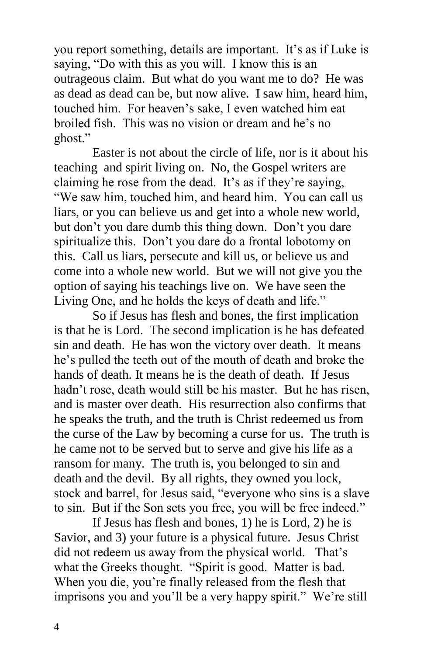you report something, details are important. It's as if Luke is saying, "Do with this as you will. I know this is an outrageous claim. But what do you want me to do? He was as dead as dead can be, but now alive. I saw him, heard him, touched him. For heaven's sake, I even watched him eat broiled fish. This was no vision or dream and he's no ghost."

Easter is not about the circle of life, nor is it about his teaching and spirit living on. No, the Gospel writers are claiming he rose from the dead. It's as if they're saying, "We saw him, touched him, and heard him. You can call us liars, or you can believe us and get into a whole new world, but don't you dare dumb this thing down. Don't you dare spiritualize this. Don't you dare do a frontal lobotomy on this. Call us liars, persecute and kill us, or believe us and come into a whole new world. But we will not give you the option of saying his teachings live on. We have seen the Living One, and he holds the keys of death and life."

So if Jesus has flesh and bones, the first implication is that he is Lord. The second implication is he has defeated sin and death. He has won the victory over death. It means he's pulled the teeth out of the mouth of death and broke the hands of death. It means he is the death of death. If Jesus hadn't rose, death would still be his master. But he has risen, and is master over death. His resurrection also confirms that he speaks the truth, and the truth is Christ redeemed us from the curse of the Law by becoming a curse for us. The truth is he came not to be served but to serve and give his life as a ransom for many. The truth is, you belonged to sin and death and the devil. By all rights, they owned you lock, stock and barrel, for Jesus said, "everyone who sins is a slave to sin. But if the Son sets you free, you will be free indeed."

If Jesus has flesh and bones, 1) he is Lord, 2) he is Savior, and 3) your future is a physical future. Jesus Christ did not redeem us away from the physical world. That's what the Greeks thought. "Spirit is good. Matter is bad. When you die, you're finally released from the flesh that imprisons you and you'll be a very happy spirit." We're still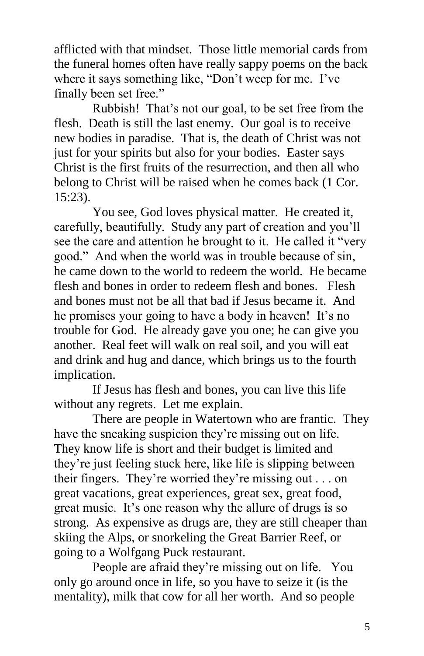afflicted with that mindset. Those little memorial cards from the funeral homes often have really sappy poems on the back where it says something like, "Don't weep for me. I've finally been set free."

Rubbish! That's not our goal, to be set free from the flesh. Death is still the last enemy. Our goal is to receive new bodies in paradise. That is, the death of Christ was not just for your spirits but also for your bodies. Easter says Christ is the first fruits of the resurrection, and then all who belong to Christ will be raised when he comes back (1 Cor. 15:23).

You see, God loves physical matter. He created it, carefully, beautifully. Study any part of creation and you'll see the care and attention he brought to it. He called it "very good." And when the world was in trouble because of sin, he came down to the world to redeem the world. He became flesh and bones in order to redeem flesh and bones. Flesh and bones must not be all that bad if Jesus became it. And he promises your going to have a body in heaven! It's no trouble for God. He already gave you one; he can give you another. Real feet will walk on real soil, and you will eat and drink and hug and dance, which brings us to the fourth implication.

If Jesus has flesh and bones, you can live this life without any regrets. Let me explain.

There are people in Watertown who are frantic. They have the sneaking suspicion they're missing out on life. They know life is short and their budget is limited and they're just feeling stuck here, like life is slipping between their fingers. They're worried they're missing out . . . on great vacations, great experiences, great sex, great food, great music. It's one reason why the allure of drugs is so strong. As expensive as drugs are, they are still cheaper than skiing the Alps, or snorkeling the Great Barrier Reef, or going to a Wolfgang Puck restaurant.

People are afraid they're missing out on life. You only go around once in life, so you have to seize it (is the mentality), milk that cow for all her worth. And so people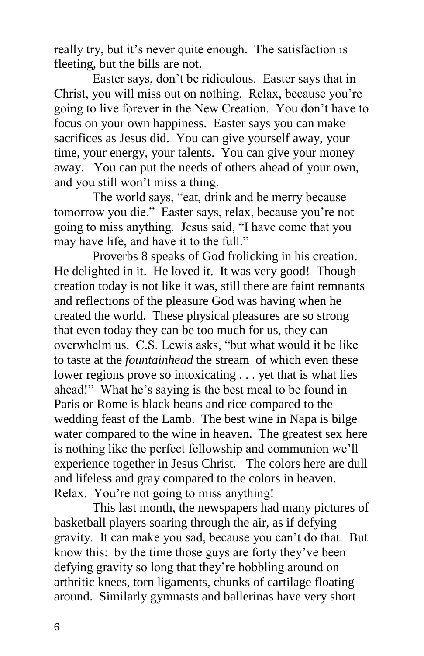really try, but it's never quite enough. The satisfaction is fleeting, but the bills are not.

Easter says, don't be ridiculous. Easter says that in Christ, you will miss out on nothing. Relax, because you're going to live forever in the New Creation. You don't have to focus on your own happiness. Easter says you can make sacrifices as Jesus did. You can give yourself away, your time, your energy, your talents. You can give your money away. You can put the needs of others ahead of your own, and you still won't miss a thing.

The world says, "eat, drink and be merry because tomorrow you die." Easter says, relax, because you're not going to miss anything. Jesus said, "I have come that you may have life, and have it to the full."

Proverbs 8 speaks of God frolicking in his creation. He delighted in it. He loved it. It was very good! Though creation today is not like it was, still there are faint remnants and reflections of the pleasure God was having when he created the world. These physical pleasures are so strong that even today they can be too much for us, they can overwhelm us. C.S. Lewis asks, "but what would it be like to taste at the *fountainhead* the stream of which even these lower regions prove so intoxicating . . . yet that is what lies ahead!" What he's saying is the best meal to be found in Paris or Rome is black beans and rice compared to the wedding feast of the Lamb. The best wine in Napa is bilge water compared to the wine in heaven. The greatest sex here is nothing like the perfect fellowship and communion we'll experience together in Jesus Christ. The colors here are dull and lifeless and gray compared to the colors in heaven. Relax. You're not going to miss anything!

This last month, the newspapers had many pictures of basketball players soaring through the air, as if defying gravity. It can make you sad, because you can't do that. But know this: by the time those guys are forty they've been defying gravity so long that they're hobbling around on arthritic knees, torn ligaments, chunks of cartilage floating around. Similarly gymnasts and ballerinas have very short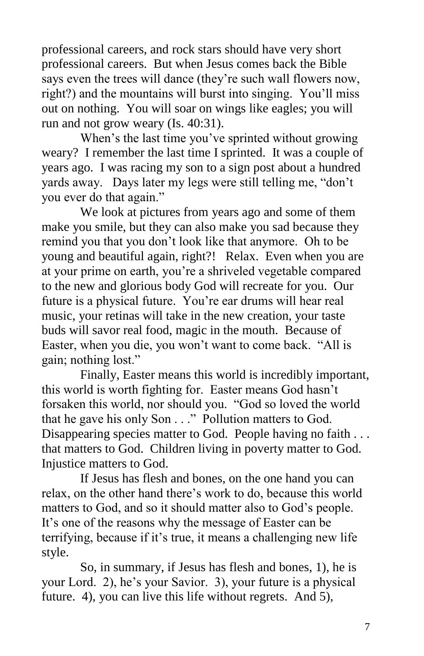professional careers, and rock stars should have very short professional careers. But when Jesus comes back the Bible says even the trees will dance (they're such wall flowers now, right?) and the mountains will burst into singing. You'll miss out on nothing. You will soar on wings like eagles; you will run and not grow weary (Is. 40:31).

When's the last time you've sprinted without growing weary? I remember the last time I sprinted. It was a couple of years ago. I was racing my son to a sign post about a hundred yards away. Days later my legs were still telling me, "don't you ever do that again."

We look at pictures from years ago and some of them make you smile, but they can also make you sad because they remind you that you don't look like that anymore. Oh to be young and beautiful again, right?! Relax. Even when you are at your prime on earth, you're a shriveled vegetable compared to the new and glorious body God will recreate for you. Our future is a physical future. You're ear drums will hear real music, your retinas will take in the new creation, your taste buds will savor real food, magic in the mouth. Because of Easter, when you die, you won't want to come back. "All is gain; nothing lost."

Finally, Easter means this world is incredibly important, this world is worth fighting for. Easter means God hasn't forsaken this world, nor should you. "God so loved the world that he gave his only Son . . ." Pollution matters to God. Disappearing species matter to God. People having no faith . . . that matters to God. Children living in poverty matter to God. Injustice matters to God.

If Jesus has flesh and bones, on the one hand you can relax, on the other hand there's work to do, because this world matters to God, and so it should matter also to God's people. It's one of the reasons why the message of Easter can be terrifying, because if it's true, it means a challenging new life style.

So, in summary, if Jesus has flesh and bones, 1), he is your Lord. 2), he's your Savior. 3), your future is a physical future. 4), you can live this life without regrets. And 5),